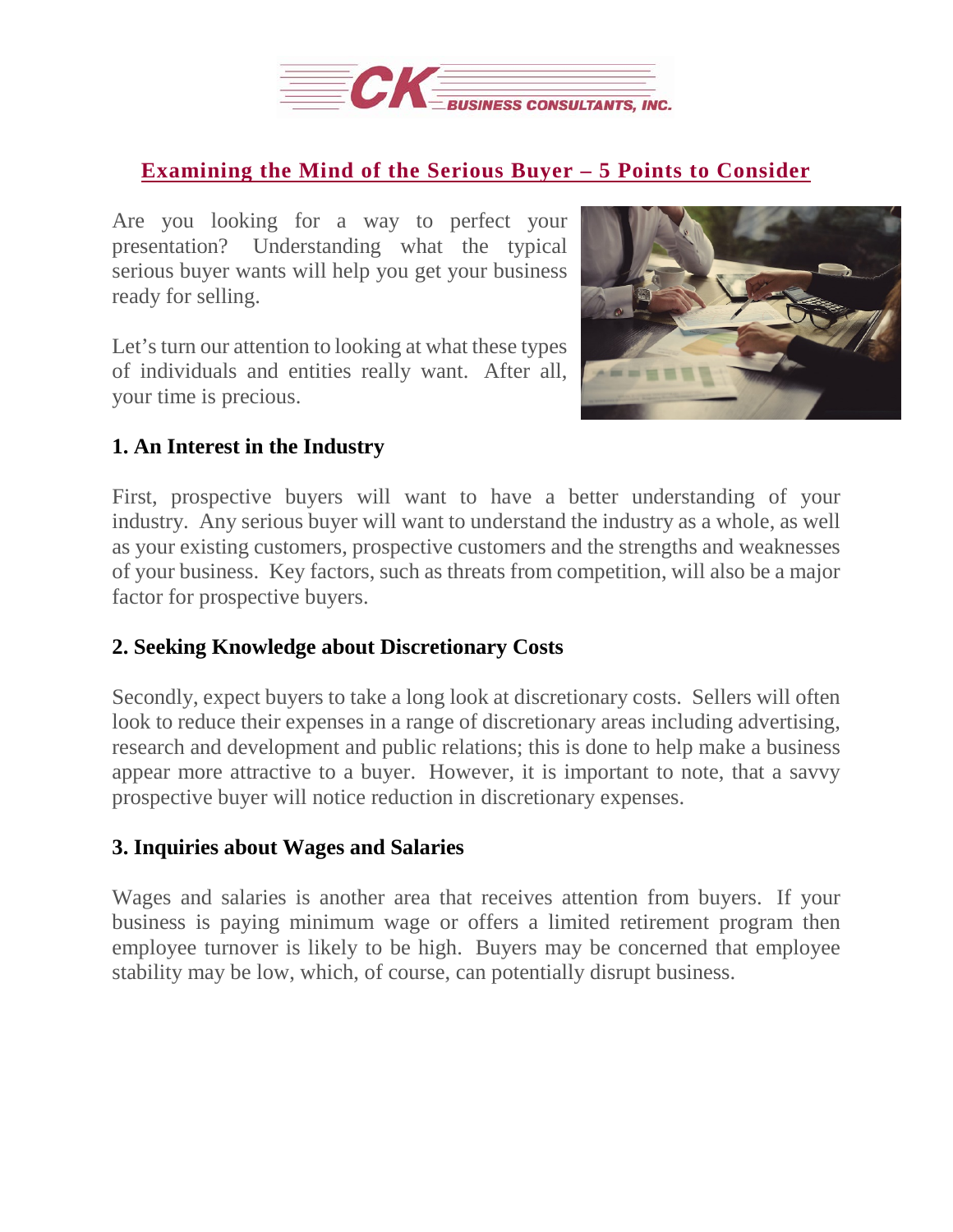

### **[Examining](https://deal-studio.com/examining-the-mind-of-the-serious-buyer-5-points-to-consider/) the Mind of the Serious Buyer – 5 Points to Consider**

Are you looking for a way to perfect your presentation? Understanding what the typical serious buyer wants will help you get your business ready for selling.

Let's turn our attention to looking at what these types of individuals and entities really want. After all, your time is precious.



# **1. An Interest in the Industry**

First, prospective buyers will want to have a better understanding of your industry. Any serious buyer will want to understand the industry as a whole, as well as your existing customers, prospective customers and the strengths and weaknesses of your business. Key factors, such as threats from competition, will also be a major factor for prospective buyers.

#### **2. Seeking Knowledge about Discretionary Costs**

Secondly, expect buyers to take a long look at discretionary costs. Sellers will often look to reduce their expenses in a range of discretionary areas including advertising, research and development and public relations; this is done to help make a business appear more attractive to a buyer. However, it is important to note, that a savvy prospective buyer will notice reduction in discretionary expenses.

#### **3. Inquiries about Wages and Salaries**

Wages and salaries is another area that receives attention from buyers. If your business is paying minimum wage or offers a limited retirement program then employee turnover is likely to be high. Buyers may be concerned that employee stability may be low, which, of course, can potentially disrupt business.